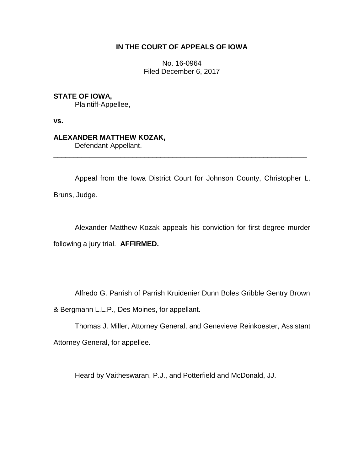### **IN THE COURT OF APPEALS OF IOWA**

No. 16-0964 Filed December 6, 2017

**STATE OF IOWA,**

Plaintiff-Appellee,

**vs.**

# **ALEXANDER MATTHEW KOZAK,**

Defendant-Appellant.

Appeal from the Iowa District Court for Johnson County, Christopher L. Bruns, Judge.

\_\_\_\_\_\_\_\_\_\_\_\_\_\_\_\_\_\_\_\_\_\_\_\_\_\_\_\_\_\_\_\_\_\_\_\_\_\_\_\_\_\_\_\_\_\_\_\_\_\_\_\_\_\_\_\_\_\_\_\_\_\_\_\_

Alexander Matthew Kozak appeals his conviction for first-degree murder following a jury trial. **AFFIRMED.**

Alfredo G. Parrish of Parrish Kruidenier Dunn Boles Gribble Gentry Brown

& Bergmann L.L.P., Des Moines, for appellant.

Thomas J. Miller, Attorney General, and Genevieve Reinkoester, Assistant Attorney General, for appellee.

Heard by Vaitheswaran, P.J., and Potterfield and McDonald, JJ.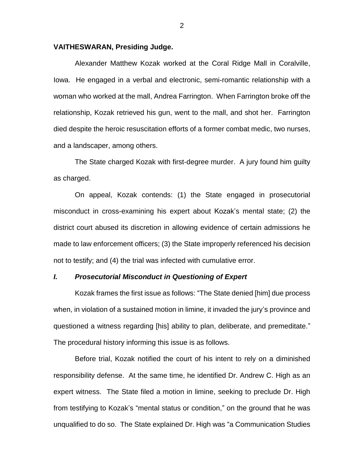#### **VAITHESWARAN, Presiding Judge.**

Alexander Matthew Kozak worked at the Coral Ridge Mall in Coralville, Iowa. He engaged in a verbal and electronic, semi-romantic relationship with a woman who worked at the mall, Andrea Farrington. When Farrington broke off the relationship, Kozak retrieved his gun, went to the mall, and shot her. Farrington died despite the heroic resuscitation efforts of a former combat medic, two nurses, and a landscaper, among others.

The State charged Kozak with first-degree murder. A jury found him guilty as charged.

On appeal, Kozak contends: (1) the State engaged in prosecutorial misconduct in cross-examining his expert about Kozak's mental state; (2) the district court abused its discretion in allowing evidence of certain admissions he made to law enforcement officers; (3) the State improperly referenced his decision not to testify; and (4) the trial was infected with cumulative error.

#### *I. Prosecutorial Misconduct in Questioning of Expert*

Kozak frames the first issue as follows: "The State denied [him] due process when, in violation of a sustained motion in limine, it invaded the jury's province and questioned a witness regarding [his] ability to plan, deliberate, and premeditate." The procedural history informing this issue is as follows.

Before trial, Kozak notified the court of his intent to rely on a diminished responsibility defense. At the same time, he identified Dr. Andrew C. High as an expert witness. The State filed a motion in limine, seeking to preclude Dr. High from testifying to Kozak's "mental status or condition," on the ground that he was unqualified to do so. The State explained Dr. High was "a Communication Studies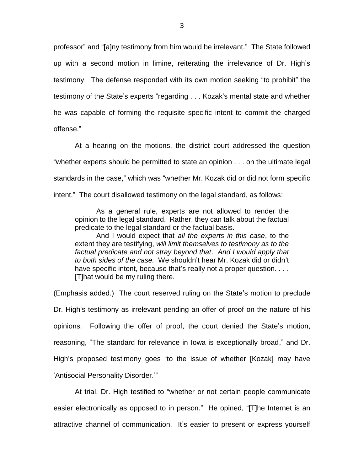professor" and "[a]ny testimony from him would be irrelevant." The State followed up with a second motion in limine, reiterating the irrelevance of Dr. High's testimony. The defense responded with its own motion seeking "to prohibit" the testimony of the State's experts "regarding . . . Kozak's mental state and whether he was capable of forming the requisite specific intent to commit the charged offense."

At a hearing on the motions, the district court addressed the question "whether experts should be permitted to state an opinion . . . on the ultimate legal standards in the case," which was "whether Mr. Kozak did or did not form specific intent." The court disallowed testimony on the legal standard, as follows:

As a general rule, experts are not allowed to render the opinion to the legal standard. Rather, they can talk about the factual predicate to the legal standard or the factual basis.

And I would expect that *all the experts in this case*, to the extent they are testifying, *will limit themselves to testimony as to the factual predicate and not stray beyond that*. *And I would apply that to both sides of the case.* We shouldn't hear Mr. Kozak did or didn't have specific intent, because that's really not a proper question. . . . [T]hat would be my ruling there.

(Emphasis added.) The court reserved ruling on the State's motion to preclude Dr. High's testimony as irrelevant pending an offer of proof on the nature of his opinions. Following the offer of proof, the court denied the State's motion, reasoning, "The standard for relevance in Iowa is exceptionally broad," and Dr. High's proposed testimony goes "to the issue of whether [Kozak] may have 'Antisocial Personality Disorder.'"

At trial, Dr. High testified to "whether or not certain people communicate easier electronically as opposed to in person." He opined, "[T]he Internet is an attractive channel of communication. It's easier to present or express yourself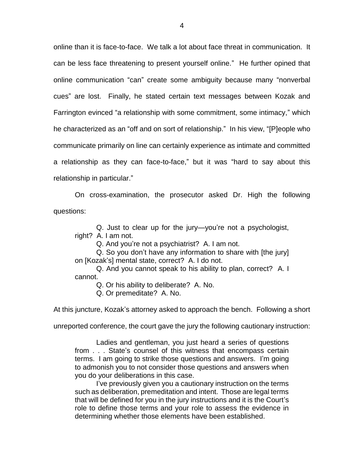online than it is face-to-face. We talk a lot about face threat in communication. It can be less face threatening to present yourself online." He further opined that online communication "can" create some ambiguity because many "nonverbal cues" are lost. Finally, he stated certain text messages between Kozak and Farrington evinced "a relationship with some commitment, some intimacy," which he characterized as an "off and on sort of relationship." In his view, "[P]eople who communicate primarily on line can certainly experience as intimate and committed a relationship as they can face-to-face," but it was "hard to say about this relationship in particular."

On cross-examination, the prosecutor asked Dr. High the following questions:

Q. Just to clear up for the jury—you're not a psychologist, right? A. I am not.

Q. And you're not a psychiatrist? A. I am not.

Q. So you don't have any information to share with [the jury] on [Kozak's] mental state, correct? A. I do not.

Q. And you cannot speak to his ability to plan, correct? A. I cannot.

Q. Or his ability to deliberate? A. No.

Q. Or premeditate? A. No.

At this juncture, Kozak's attorney asked to approach the bench. Following a short

unreported conference, the court gave the jury the following cautionary instruction:

Ladies and gentleman, you just heard a series of questions from . . . State's counsel of this witness that encompass certain terms. I am going to strike those questions and answers. I'm going to admonish you to not consider those questions and answers when you do your deliberations in this case.

I've previously given you a cautionary instruction on the terms such as deliberation, premeditation and intent. Those are legal terms that will be defined for you in the jury instructions and it is the Court's role to define those terms and your role to assess the evidence in determining whether those elements have been established.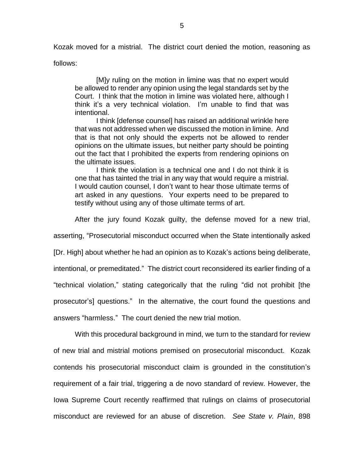Kozak moved for a mistrial. The district court denied the motion, reasoning as

follows:

[M]y ruling on the motion in limine was that no expert would be allowed to render any opinion using the legal standards set by the Court. I think that the motion in limine was violated here, although I think it's a very technical violation. I'm unable to find that was intentional.

I think [defense counsel] has raised an additional wrinkle here that was not addressed when we discussed the motion in limine. And that is that not only should the experts not be allowed to render opinions on the ultimate issues, but neither party should be pointing out the fact that I prohibited the experts from rendering opinions on the ultimate issues.

I think the violation is a technical one and I do not think it is one that has tainted the trial in any way that would require a mistrial. I would caution counsel, I don't want to hear those ultimate terms of art asked in any questions. Your experts need to be prepared to testify without using any of those ultimate terms of art.

After the jury found Kozak guilty, the defense moved for a new trial,

asserting, "Prosecutorial misconduct occurred when the State intentionally asked

[Dr. High] about whether he had an opinion as to Kozak's actions being deliberate,

intentional, or premeditated." The district court reconsidered its earlier finding of a

"technical violation," stating categorically that the ruling "did not prohibit [the

prosecutor's] questions." In the alternative, the court found the questions and

answers "harmless." The court denied the new trial motion.

With this procedural background in mind, we turn to the standard for review of new trial and mistrial motions premised on prosecutorial misconduct. Kozak contends his prosecutorial misconduct claim is grounded in the constitution's requirement of a fair trial, triggering a de novo standard of review. However, the Iowa Supreme Court recently reaffirmed that rulings on claims of prosecutorial misconduct are reviewed for an abuse of discretion. *See State v. Plain*, 898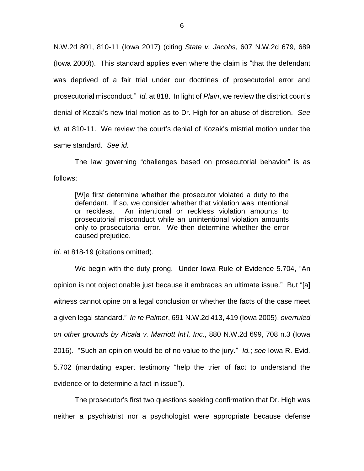N.W.2d 801, 810-11 (Iowa 2017) (citing *State v. Jacobs*, 607 N.W.2d 679, 689 (Iowa 2000)). This standard applies even where the claim is "that the defendant was deprived of a fair trial under our doctrines of prosecutorial error and prosecutorial misconduct." *Id.* at 818. In light of *Plain*, we review the district court's denial of Kozak's new trial motion as to Dr. High for an abuse of discretion. *See id.* at 810-11. We review the court's denial of Kozak's mistrial motion under the same standard. *See id.*

The law governing "challenges based on prosecutorial behavior" is as follows:

[W]e first determine whether the prosecutor violated a duty to the defendant. If so, we consider whether that violation was intentional or reckless. An intentional or reckless violation amounts to prosecutorial misconduct while an unintentional violation amounts only to prosecutorial error. We then determine whether the error caused prejudice.

*Id.* at 818-19 (citations omitted).

We begin with the duty prong. Under Iowa Rule of Evidence 5.704, "An opinion is not objectionable just because it embraces an ultimate issue." But "[a] witness cannot opine on a legal conclusion or whether the facts of the case meet a given legal standard." *In re Palmer*, 691 N.W.2d 413, 419 (Iowa 2005), *overruled on other grounds by Alcala v. Marriott Int'l, Inc*., 880 N.W.2d 699, 708 n.3 (Iowa 2016). "Such an opinion would be of no value to the jury." *Id.*; *see* Iowa R. Evid. 5.702 (mandating expert testimony "help the trier of fact to understand the evidence or to determine a fact in issue").

The prosecutor's first two questions seeking confirmation that Dr. High was neither a psychiatrist nor a psychologist were appropriate because defense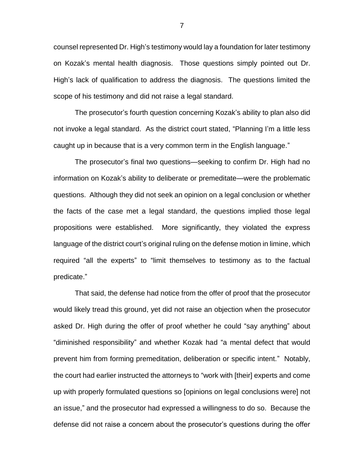counsel represented Dr. High's testimony would lay a foundation for later testimony on Kozak's mental health diagnosis. Those questions simply pointed out Dr. High's lack of qualification to address the diagnosis. The questions limited the scope of his testimony and did not raise a legal standard.

The prosecutor's fourth question concerning Kozak's ability to plan also did not invoke a legal standard. As the district court stated, "Planning I'm a little less caught up in because that is a very common term in the English language."

The prosecutor's final two questions—seeking to confirm Dr. High had no information on Kozak's ability to deliberate or premeditate—were the problematic questions. Although they did not seek an opinion on a legal conclusion or whether the facts of the case met a legal standard, the questions implied those legal propositions were established. More significantly, they violated the express language of the district court's original ruling on the defense motion in limine, which required "all the experts" to "limit themselves to testimony as to the factual predicate."

That said, the defense had notice from the offer of proof that the prosecutor would likely tread this ground, yet did not raise an objection when the prosecutor asked Dr. High during the offer of proof whether he could "say anything" about "diminished responsibility" and whether Kozak had "a mental defect that would prevent him from forming premeditation, deliberation or specific intent." Notably, the court had earlier instructed the attorneys to "work with [their] experts and come up with properly formulated questions so [opinions on legal conclusions were] not an issue," and the prosecutor had expressed a willingness to do so. Because the defense did not raise a concern about the prosecutor's questions during the offer

7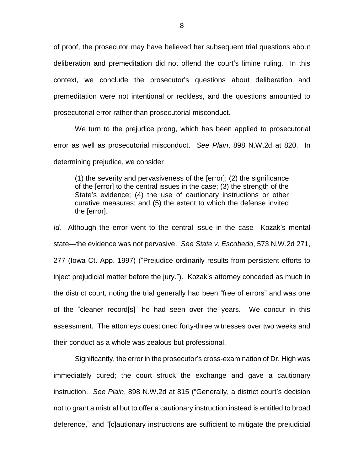of proof, the prosecutor may have believed her subsequent trial questions about deliberation and premeditation did not offend the court's limine ruling. In this context, we conclude the prosecutor's questions about deliberation and premeditation were not intentional or reckless, and the questions amounted to prosecutorial error rather than prosecutorial misconduct.

We turn to the prejudice prong, which has been applied to prosecutorial error as well as prosecutorial misconduct. *See Plain*, 898 N.W.2d at 820. In determining prejudice, we consider

(1) the severity and pervasiveness of the [error]; (2) the significance of the [error] to the central issues in the case; (3) the strength of the State's evidence; (4) the use of cautionary instructions or other curative measures; and (5) the extent to which the defense invited the [error].

*Id.* Although the error went to the central issue in the case—Kozak's mental state—the evidence was not pervasive. *See State v. Escobedo*, 573 N.W.2d 271, 277 (Iowa Ct. App. 1997) ("Prejudice ordinarily results from persistent efforts to inject prejudicial matter before the jury."). Kozak's attorney conceded as much in the district court, noting the trial generally had been "free of errors" and was one of the "cleaner record[s]" he had seen over the years. We concur in this assessment. The attorneys questioned forty-three witnesses over two weeks and their conduct as a whole was zealous but professional.

Significantly, the error in the prosecutor's cross-examination of Dr. High was immediately cured; the court struck the exchange and gave a cautionary instruction. *See Plain*, 898 N.W.2d at 815 ("Generally, a district court's decision not to grant a mistrial but to offer a cautionary instruction instead is entitled to broad deference," and "[c]autionary instructions are sufficient to mitigate the prejudicial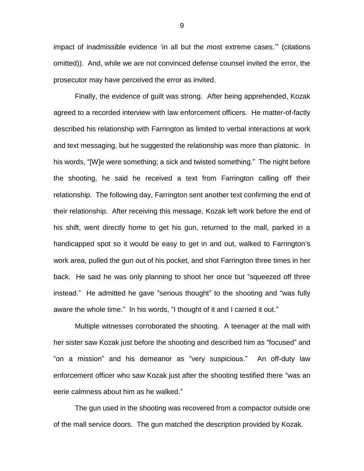impact of inadmissible evidence 'in all but the most extreme cases.'" (citations omitted)). And, while we are not convinced defense counsel invited the error, the prosecutor may have perceived the error as invited.

Finally, the evidence of guilt was strong. After being apprehended, Kozak agreed to a recorded interview with law enforcement officers. He matter-of-factly described his relationship with Farrington as limited to verbal interactions at work and text messaging, but he suggested the relationship was more than platonic. In his words, "[W]e were something; a sick and twisted something." The night before the shooting, he said he received a text from Farrington calling off their relationship. The following day, Farrington sent another text confirming the end of their relationship. After receiving this message, Kozak left work before the end of his shift, went directly home to get his gun, returned to the mall, parked in a handicapped spot so it would be easy to get in and out, walked to Farrington's work area, pulled the gun out of his pocket, and shot Farrington three times in her back. He said he was only planning to shoot her once but "squeezed off three instead." He admitted he gave "serious thought" to the shooting and "was fully aware the whole time." In his words, "I thought of it and I carried it out."

Multiple witnesses corroborated the shooting. A teenager at the mall with her sister saw Kozak just before the shooting and described him as "focused" and "on a mission" and his demeanor as "very suspicious." An off-duty law enforcement officer who saw Kozak just after the shooting testified there "was an eerie calmness about him as he walked."

The gun used in the shooting was recovered from a compactor outside one of the mall service doors. The gun matched the description provided by Kozak.

9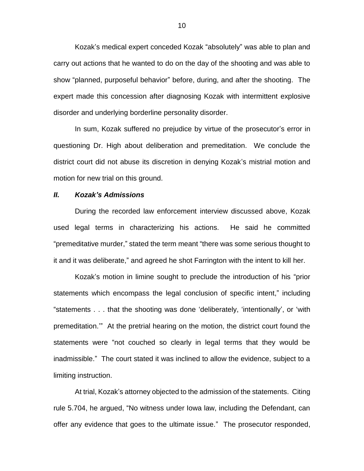Kozak's medical expert conceded Kozak "absolutely" was able to plan and carry out actions that he wanted to do on the day of the shooting and was able to show "planned, purposeful behavior" before, during, and after the shooting. The expert made this concession after diagnosing Kozak with intermittent explosive disorder and underlying borderline personality disorder.

In sum, Kozak suffered no prejudice by virtue of the prosecutor's error in questioning Dr. High about deliberation and premeditation. We conclude the district court did not abuse its discretion in denying Kozak's mistrial motion and motion for new trial on this ground.

#### *II. Kozak's Admissions*

During the recorded law enforcement interview discussed above, Kozak used legal terms in characterizing his actions. He said he committed "premeditative murder," stated the term meant "there was some serious thought to it and it was deliberate," and agreed he shot Farrington with the intent to kill her.

Kozak's motion in limine sought to preclude the introduction of his "prior statements which encompass the legal conclusion of specific intent," including "statements . . . that the shooting was done 'deliberately, 'intentionally', or 'with premeditation.'" At the pretrial hearing on the motion, the district court found the statements were "not couched so clearly in legal terms that they would be inadmissible." The court stated it was inclined to allow the evidence, subject to a limiting instruction.

At trial, Kozak's attorney objected to the admission of the statements. Citing rule 5.704, he argued, "No witness under Iowa law, including the Defendant, can offer any evidence that goes to the ultimate issue." The prosecutor responded,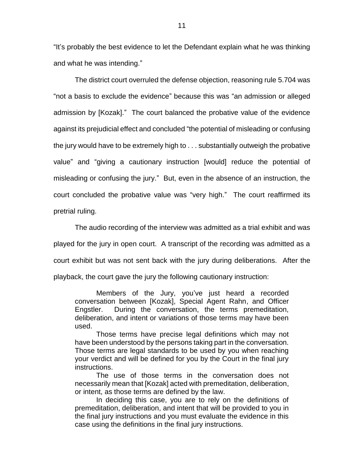"It's probably the best evidence to let the Defendant explain what he was thinking and what he was intending."

The district court overruled the defense objection, reasoning rule 5.704 was "not a basis to exclude the evidence" because this was "an admission or alleged admission by [Kozak]." The court balanced the probative value of the evidence against its prejudicial effect and concluded "the potential of misleading or confusing the jury would have to be extremely high to . . . substantially outweigh the probative value" and "giving a cautionary instruction [would] reduce the potential of misleading or confusing the jury." But, even in the absence of an instruction, the court concluded the probative value was "very high." The court reaffirmed its pretrial ruling.

The audio recording of the interview was admitted as a trial exhibit and was played for the jury in open court. A transcript of the recording was admitted as a court exhibit but was not sent back with the jury during deliberations. After the playback, the court gave the jury the following cautionary instruction:

Members of the Jury, you've just heard a recorded conversation between [Kozak], Special Agent Rahn, and Officer Engstler. During the conversation, the terms premeditation, deliberation, and intent or variations of those terms may have been used.

Those terms have precise legal definitions which may not have been understood by the persons taking part in the conversation. Those terms are legal standards to be used by you when reaching your verdict and will be defined for you by the Court in the final jury instructions.

The use of those terms in the conversation does not necessarily mean that [Kozak] acted with premeditation, deliberation, or intent, as those terms are defined by the law.

In deciding this case, you are to rely on the definitions of premeditation, deliberation, and intent that will be provided to you in the final jury instructions and you must evaluate the evidence in this case using the definitions in the final jury instructions.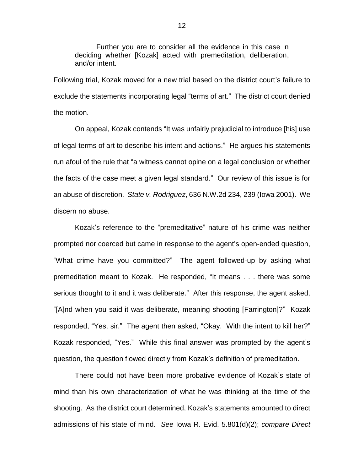Further you are to consider all the evidence in this case in deciding whether [Kozak] acted with premeditation, deliberation, and/or intent.

Following trial, Kozak moved for a new trial based on the district court's failure to exclude the statements incorporating legal "terms of art." The district court denied the motion.

On appeal, Kozak contends "It was unfairly prejudicial to introduce [his] use of legal terms of art to describe his intent and actions." He argues his statements run afoul of the rule that "a witness cannot opine on a legal conclusion or whether the facts of the case meet a given legal standard." Our review of this issue is for an abuse of discretion. *State v. Rodriguez*, 636 N.W.2d 234, 239 (Iowa 2001). We discern no abuse.

Kozak's reference to the "premeditative" nature of his crime was neither prompted nor coerced but came in response to the agent's open-ended question, "What crime have you committed?" The agent followed-up by asking what premeditation meant to Kozak. He responded, "It means . . . there was some serious thought to it and it was deliberate." After this response, the agent asked, "[A]nd when you said it was deliberate, meaning shooting [Farrington]?" Kozak responded, "Yes, sir." The agent then asked, "Okay. With the intent to kill her?" Kozak responded, "Yes." While this final answer was prompted by the agent's question, the question flowed directly from Kozak's definition of premeditation.

There could not have been more probative evidence of Kozak's state of mind than his own characterization of what he was thinking at the time of the shooting. As the district court determined, Kozak's statements amounted to direct admissions of his state of mind. *See* Iowa R. Evid. 5.801(d)(2); *compare Direct*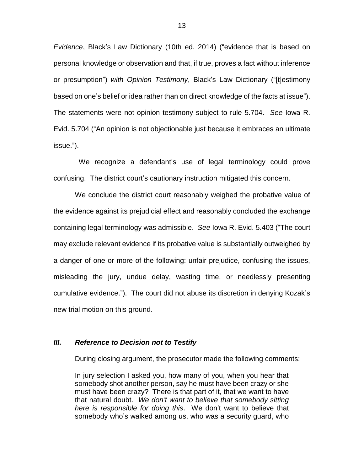*Evidence*, Black's Law Dictionary (10th ed. 2014) ("evidence that is based on personal knowledge or observation and that, if true, proves a fact without inference or presumption") *with Opinion Testimony*, Black's Law Dictionary ("[t]estimony based on one's belief or idea rather than on direct knowledge of the facts at issue"). The statements were not opinion testimony subject to rule 5.704. *See* Iowa R. Evid. 5.704 ("An opinion is not objectionable just because it embraces an ultimate issue.").

 We recognize a defendant's use of legal terminology could prove confusing. The district court's cautionary instruction mitigated this concern.

We conclude the district court reasonably weighed the probative value of the evidence against its prejudicial effect and reasonably concluded the exchange containing legal terminology was admissible. *See* Iowa R. Evid. 5.403 ("The court may exclude relevant evidence if its probative value is substantially outweighed by a danger of one or more of the following: unfair prejudice, confusing the issues, misleading the jury, undue delay, wasting time, or needlessly presenting cumulative evidence."). The court did not abuse its discretion in denying Kozak's new trial motion on this ground.

#### *III. Reference to Decision not to Testify*

During closing argument, the prosecutor made the following comments:

In jury selection I asked you, how many of you, when you hear that somebody shot another person, say he must have been crazy or she must have been crazy? There is that part of it, that we want to have that natural doubt. *We don't want to believe that somebody sitting here is responsible for doing this*. We don't want to believe that somebody who's walked among us, who was a security guard, who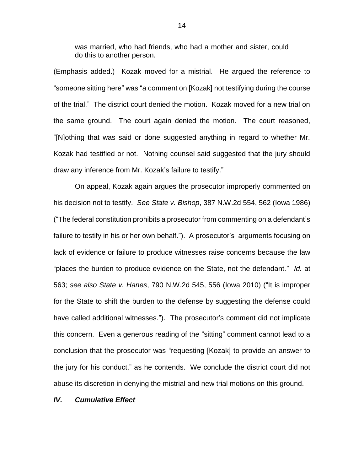was married, who had friends, who had a mother and sister, could do this to another person.

(Emphasis added.) Kozak moved for a mistrial. He argued the reference to "someone sitting here" was "a comment on [Kozak] not testifying during the course of the trial." The district court denied the motion. Kozak moved for a new trial on the same ground. The court again denied the motion. The court reasoned, "[N]othing that was said or done suggested anything in regard to whether Mr. Kozak had testified or not. Nothing counsel said suggested that the jury should draw any inference from Mr. Kozak's failure to testify."

On appeal, Kozak again argues the prosecutor improperly commented on his decision not to testify. *See State v. Bishop*, 387 N.W.2d 554, 562 (Iowa 1986) ("The federal constitution prohibits a prosecutor from commenting on a defendant's failure to testify in his or her own behalf."). A prosecutor's arguments focusing on lack of evidence or failure to produce witnesses raise concerns because the law "places the burden to produce evidence on the State, not the defendant." *Id.* at 563; *see also State v. Hanes*, 790 N.W.2d 545, 556 (Iowa 2010) ("It is improper for the State to shift the burden to the defense by suggesting the defense could have called additional witnesses."). The prosecutor's comment did not implicate this concern. Even a generous reading of the "sitting" comment cannot lead to a conclusion that the prosecutor was "requesting [Kozak] to provide an answer to the jury for his conduct," as he contends. We conclude the district court did not abuse its discretion in denying the mistrial and new trial motions on this ground.

#### *IV. Cumulative Effect*

14